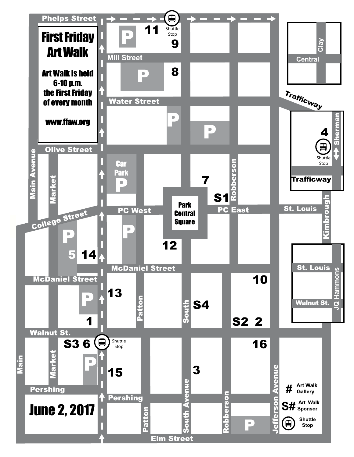